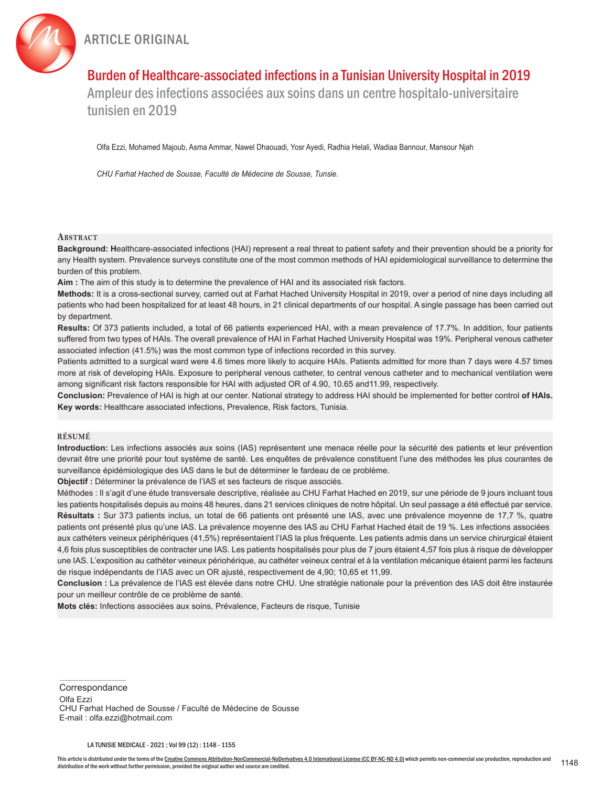



# Burden of Healthcare-associated infections in a Tunisian University Hospital in 2019

Ampleur des infections associées aux soins dans un centre hospitalo-universitaire tunisien en 2019

Olfa Ezzi, Mohamed Majoub, Asma Ammar, Nawel Dhaouadi, Yosr Ayedi, Radhia Helali, Wadiaa Bannour, Mansour Njah

*CHU Farhat Hached de Sousse, Faculté de Médecine de Sousse, Tunsie.*

#### **ABSTRACT**

**Background: H**ealthcare-associated infections (HAI) represent a real threat to patient safety and their prevention should be a priority for any Health system. Prevalence surveys constitute one of the most common methods of HAI epidemiological surveillance to determine the burden of this problem.

**Aim :** The aim of this study is to determine the prevalence of HAI and its associated risk factors.

**Methods:** It is a cross-sectional survey, carried out at Farhat Hached University Hospital in 2019, over a period of nine days including all patients who had been hospitalized for at least 48 hours, in 21 clinical departments of our hospital. A single passage has been carried out by department.

**Results:** Of 373 patients included, a total of 66 patients experienced HAI, with a mean prevalence of 17.7%. In addition, four patients suffered from two types of HAIs. The overall prevalence of HAI in Farhat Hached University Hospital was 19%. Peripheral venous catheter associated infection (41.5%) was the most common type of infections recorded in this survey.

Patients admitted to a surgical ward were 4.6 times more likely to acquire HAIs. Patients admitted for more than 7 days were 4.57 times more at risk of developing HAIs. Exposure to peripheral venous catheter, to central venous catheter and to mechanical ventilation were among significant risk factors responsible for HAI with adjusted OR of 4.90, 10.65 and11.99, respectively.

**Conclusion:** Prevalence of HAI is high at our center. National strategy to address HAI should be implemented for better control **of HAIs. Key words:** Healthcare associated infections, Prevalence, Risk factors, Tunisia.

### **résumé**

**Introduction:** Les infections associés aux soins (IAS) représentent une menace réelle pour la sécurité des patients et leur prévention devrait être une priorité pour tout système de santé. Les enquêtes de prévalence constituent l'une des méthodes les plus courantes de surveillance épidémiologique des IAS dans le but de déterminer le fardeau de ce problème.

**Objectif :** Déterminer la prévalence de l'IAS et ses facteurs de risque associés.

Méthodes : Il s'agit d'une étude transversale descriptive, réalisée au CHU Farhat Hached en 2019, sur une période de 9 jours incluant tous les patients hospitalisés depuis au moins 48 heures, dans 21 services cliniques de notre hôpital. Un seul passage a été effectué par service. **Résultats :** Sur 373 patients inclus, un total de 66 patients ont présenté une IAS, avec une prévalence moyenne de 17,7 %, quatre patients ont présenté plus qu'une IAS. La prévalence moyenne des IAS au CHU Farhat Hached était de 19 %. Les infections associées aux cathéters veineux périphériques (41,5%) représentaient l'IAS la plus fréquente. Les patients admis dans un service chirurgical étaient 4,6 fois plus susceptibles de contracter une IAS. Les patients hospitalisés pour plus de 7 jours étaient 4,57 fois plus à risque de développer une IAS. L'exposition au cathéter veineux périohérique, au cathéter veineux central et à la ventilation mécanique étaient parmi les facteurs de risque indépendants de l'IAS avec un OR ajusté, respectivement de 4,90; 10,65 et 11,99.

**Conclusion :** La prévalence de l'IAS est élevée dans notre CHU. Une stratégie nationale pour la prévention des IAS doit être instaurée pour un meilleur contrôle de ce problème de santé.

**Mots clés:** Infections associées aux soins, Prévalence, Facteurs de risque, Tunisie

**Correspondance** 

Olfa Ezzi CHU Farhat Hached de Sousse / Faculté de Médecine de Sousse E-mail : olfa.ezzi@hotmail.com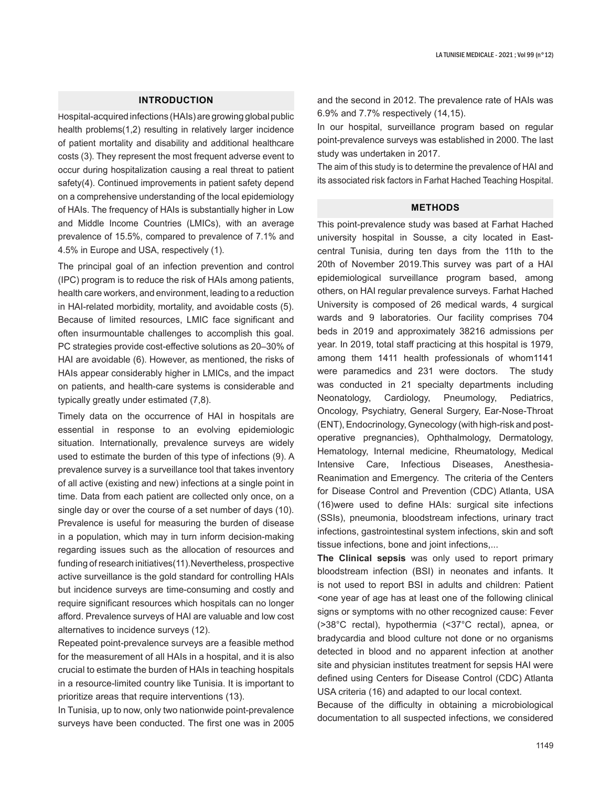## **INTRODUCTION**

Hospital-acquired infections (HAIs) are growing global public health problems(1,2) resulting in relatively larger incidence of patient mortality and disability and additional healthcare costs (3). They represent the most frequent adverse event to occur during hospitalization causing a real threat to patient safety(4). Continued improvements in patient safety depend on a comprehensive understanding of the local epidemiology of HAIs. The frequency of HAIs is substantially higher in Low and Middle Income Countries (LMICs), with an average prevalence of 15.5%, compared to prevalence of 7.1% and 4.5% in Europe and USA, respectively (1).

The principal goal of an infection prevention and control (IPC) program is to reduce the risk of HAIs among patients, health care workers, and environment, leading to a reduction in HAI-related morbidity, mortality, and avoidable costs (5). Because of limited resources, LMIC face significant and often insurmountable challenges to accomplish this goal. PC strategies provide cost-effective solutions as 20–30% of HAI are avoidable (6). However, as mentioned, the risks of HAIs appear considerably higher in LMICs, and the impact on patients, and health-care systems is considerable and typically greatly under estimated (7,8).

Timely data on the occurrence of HAI in hospitals are essential in response to an evolving epidemiologic situation. Internationally, prevalence surveys are widely used to estimate the burden of this type of infections (9). A prevalence survey is a surveillance tool that takes inventory of all active (existing and new) infections at a single point in time. Data from each patient are collected only once, on a single day or over the course of a set number of days (10). Prevalence is useful for measuring the burden of disease in a population, which may in turn inform decision-making regarding issues such as the allocation of resources and funding of research initiatives(11).Nevertheless, prospective active surveillance is the gold standard for controlling HAIs but incidence surveys are time-consuming and costly and require significant resources which hospitals can no longer afford. Prevalence surveys of HAI are valuable and low cost alternatives to incidence surveys (12).

Repeated point-prevalence surveys are a feasible method for the measurement of all HAIs in a hospital, and it is also crucial to estimate the burden of HAIs in teaching hospitals in a resource-limited country like Tunisia. It is important to prioritize areas that require interventions (13).

In Tunisia, up to now, only two nationwide point-prevalence surveys have been conducted. The first one was in 2005 and the second in 2012. The prevalence rate of HAIs was 6.9% and 7.7% respectively (14,15).

In our hospital, surveillance program based on regular point-prevalence surveys was established in 2000. The last study was undertaken in 2017.

The aim of this study is to determine the prevalence of HAI and its associated risk factors in Farhat Hached Teaching Hospital.

## **METHODS**

This point-prevalence study was based at Farhat Hached university hospital in Sousse, a city located in Eastcentral Tunisia, during ten days from the 11th to the 20th of November 2019.This survey was part of a HAI epidemiological surveillance program based, among others, on HAI regular prevalence surveys. Farhat Hached University is composed of 26 medical wards, 4 surgical wards and 9 laboratories. Our facility comprises 704 beds in 2019 and approximately 38216 admissions per year. In 2019, total staff practicing at this hospital is 1979, among them 1411 health professionals of whom1141 were paramedics and 231 were doctors. The study was conducted in 21 specialty departments including Neonatology, Cardiology, Pneumology, Pediatrics, Oncology, Psychiatry, General Surgery, Ear-Nose-Throat (ENT), Endocrinology, Gynecology (with high-risk and postoperative pregnancies), Ophthalmology, Dermatology, Hematology, Internal medicine, Rheumatology, Medical Intensive Care, Infectious Diseases, Anesthesia-Reanimation and Emergency. The criteria of the Centers for Disease Control and Prevention (CDC) Atlanta, USA (16)were used to define HAIs: surgical site infections (SSIs), pneumonia, bloodstream infections, urinary tract infections, gastrointestinal system infections, skin and soft tissue infections, bone and joint infections,...

**The Clinical sepsis** was only used to report primary bloodstream infection (BSI) in neonates and infants. It is not used to report BSI in adults and children: Patient <one year of age has at least one of the following clinical signs or symptoms with no other recognized cause: Fever (>38°C rectal), hypothermia (<37°C rectal), apnea, or bradycardia and blood culture not done or no organisms detected in blood and no apparent infection at another site and physician institutes treatment for sepsis HAI were defined using Centers for Disease Control (CDC) Atlanta USA criteria (16) and adapted to our local context.

Because of the difficulty in obtaining a microbiological documentation to all suspected infections, we considered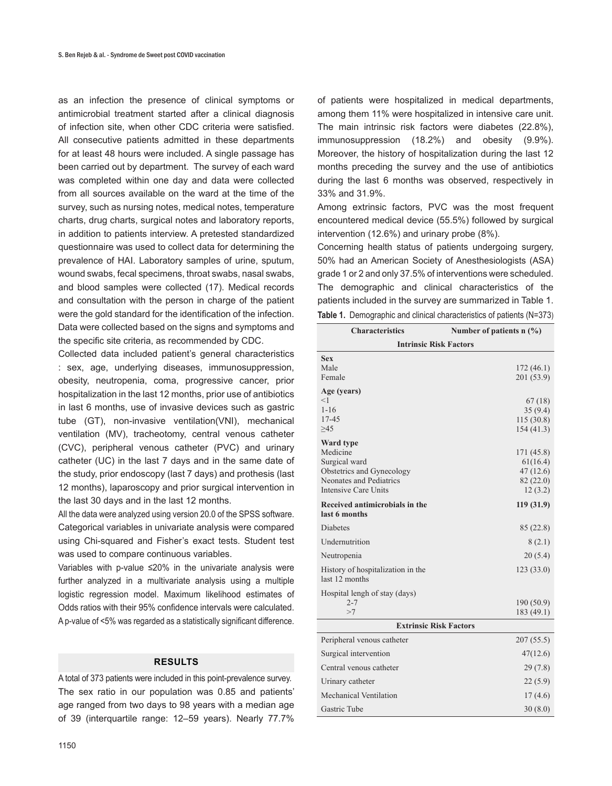as an infection the presence of clinical symptoms or antimicrobial treatment started after a clinical diagnosis of infection site, when other CDC criteria were satisfied. All consecutive patients admitted in these departments for at least 48 hours were included. A single passage has been carried out by department. The survey of each ward was completed within one day and data were collected from all sources available on the ward at the time of the survey, such as nursing notes, medical notes, temperature charts, drug charts, surgical notes and laboratory reports, in addition to patients interview. A pretested standardized questionnaire was used to collect data for determining the prevalence of HAI. Laboratory samples of urine, sputum, wound swabs, fecal specimens, throat swabs, nasal swabs, and blood samples were collected (17). Medical records and consultation with the person in charge of the patient were the gold standard for the identification of the infection. Data were collected based on the signs and symptoms and the specific site criteria, as recommended by CDC.

Collected data included patient's general characteristics : sex, age, underlying diseases, immunosuppression, obesity, neutropenia, coma, progressive cancer, prior hospitalization in the last 12 months, prior use of antibiotics in last 6 months, use of invasive devices such as gastric tube (GT), non-invasive ventilation(VNI), mechanical ventilation (MV), tracheotomy, central venous catheter (CVC), peripheral venous catheter (PVC) and urinary catheter (UC) in the last 7 days and in the same date of the study, prior endoscopy (last 7 days) and prothesis (last 12 months), laparoscopy and prior surgical intervention in the last 30 days and in the last 12 months.

All the data were analyzed using version 20.0 of the SPSS software. Categorical variables in univariate analysis were compared using Chi-squared and Fisher's exact tests. Student test was used to compare continuous variables.

Variables with p-value ≤20% in the univariate analysis were further analyzed in a multivariate analysis using a multiple logistic regression model. Maximum likelihood estimates of Odds ratios with their 95% confidence intervals were calculated. A p-value of <5% was regarded as a statistically significant difference.

## **RESULTS**

A total of 373 patients were included in this point-prevalence survey. The sex ratio in our population was 0.85 and patients' age ranged from two days to 98 years with a median age of 39 (interquartile range: 12–59 years). Nearly 77.7%

of patients were hospitalized in medical departments, among them 11% were hospitalized in intensive care unit. The main intrinsic risk factors were diabetes (22.8%), immunosuppression (18.2%) and obesity (9.9%). Moreover, the history of hospitalization during the last 12 months preceding the survey and the use of antibiotics during the last 6 months was observed, respectively in 33% and 31.9%.

Among extrinsic factors, PVC was the most frequent encountered medical device (55.5%) followed by surgical intervention (12.6%) and urinary probe (8%).

Concerning health status of patients undergoing surgery, 50% had an American Society of Anesthesiologists (ASA) grade 1 or 2 and only 37.5% of interventions were scheduled. The demographic and clinical characteristics of the patients included in the survey are summarized in Table 1. **Table 1.** Demographic and clinical characteristics of patients (N=373)

| <b>Characteristics</b>                                                                                                        | Number of patients $n$ (%)                                 |  |  |  |  |  |  |
|-------------------------------------------------------------------------------------------------------------------------------|------------------------------------------------------------|--|--|--|--|--|--|
| <b>Intrinsic Risk Factors</b>                                                                                                 |                                                            |  |  |  |  |  |  |
| <b>Sex</b><br>Male<br>Female                                                                                                  | 172(46.1)<br>201 (53.9)                                    |  |  |  |  |  |  |
| Age (years)<br><1<br>$1 - 16$<br>$17 - 45$<br>>45                                                                             | 67(18)<br>35(9.4)<br>115(30.8)<br>154 (41.3)               |  |  |  |  |  |  |
| Ward type<br>Medicine<br>Surgical ward<br>Obstetrics and Gynecology<br>Neonates and Pediatrics<br><b>Intensive Care Units</b> | 171 (45.8)<br>61(16.4)<br>47(12.6)<br>82 (22.0)<br>12(3.2) |  |  |  |  |  |  |
| Received antimicrobials in the<br>last 6 months                                                                               | 119(31.9)                                                  |  |  |  |  |  |  |
| <b>Diabetes</b>                                                                                                               | 85 (22.8)                                                  |  |  |  |  |  |  |
| Undernutrition                                                                                                                | 8(2.1)                                                     |  |  |  |  |  |  |
| Neutropenia                                                                                                                   | 20(5.4)                                                    |  |  |  |  |  |  |
| History of hospitalization in the<br>last 12 months                                                                           | 123(33.0)                                                  |  |  |  |  |  |  |
| Hospital lengh of stay (days)<br>$2 - 7$<br>>7                                                                                | 190 (50.9)<br>183 (49.1)                                   |  |  |  |  |  |  |
| <b>Extrinsic Risk Factors</b>                                                                                                 |                                                            |  |  |  |  |  |  |
| Peripheral venous catheter                                                                                                    | 207(55.5)                                                  |  |  |  |  |  |  |
| Surgical intervention                                                                                                         | 47(12.6)                                                   |  |  |  |  |  |  |
| Central venous catheter                                                                                                       | 29(7.8)                                                    |  |  |  |  |  |  |
| Urinary catheter                                                                                                              | 22(5.9)                                                    |  |  |  |  |  |  |
| Mechanical Ventilation                                                                                                        | 17(4.6)                                                    |  |  |  |  |  |  |
| <b>Gastric Tube</b>                                                                                                           | 30(8.0)                                                    |  |  |  |  |  |  |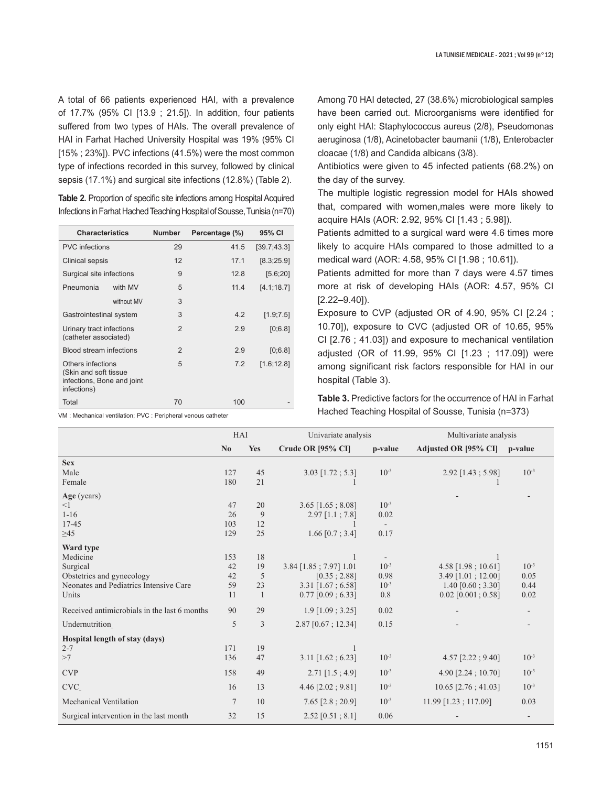A total of 66 patients experienced HAI, with a prevalence of 17.7% (95% CI [13.9 ; 21.5]). In addition, four patients suffered from two types of HAIs. The overall prevalence of HAI in Farhat Hached University Hospital was 19% (95% CI [15% ; 23%]). PVC infections (41.5%) were the most common type of infections recorded in this survey, followed by clinical sepsis (17.1%) and surgical site infections (12.8%) (Table 2).

**Table 2.** Proportion of specific site infections among Hospital Acquired Infections in Farhat Hached Teaching Hospital of Sousse, Tunisia (n=70)

| <b>Characteristics</b>                                                                  |            | <b>Number</b>  | Percentage (%) | 95% CI       |
|-----------------------------------------------------------------------------------------|------------|----------------|----------------|--------------|
| <b>PVC</b> infections                                                                   |            | 29             | 41.5           | [39.7; 43.3] |
| Clinical sepsis                                                                         |            | 12             | 17.1           | [8.3;25.9]   |
| Surgical site infections                                                                |            | 9              | 12.8           | [5.6; 20]    |
| Pneumonia                                                                               | with MV    | 5              | 11.4           | [4.1;18.7]   |
|                                                                                         | without MV | 3              |                |              |
| Gastrointestinal system                                                                 |            | 3              | 4.2            | [1.9; 7.5]   |
| Urinary tract infections<br>(catheter associated)                                       |            | $\mathfrak{p}$ | 2.9            | [0;6.8]      |
| Blood stream infections                                                                 |            | $\mathfrak{p}$ | 2.9            | [0;6.8]      |
| Others infections<br>(Skin and soft tissue<br>infections, Bone and joint<br>infections) |            | 5              | 7.2            | [1.6; 12.8]  |
| Total                                                                                   |            | 70             | 100            |              |

VM : Mechanical ventilation; PVC : Peripheral venous catheter

Among 70 HAI detected, 27 (38.6%) microbiological samples have been carried out. Microorganisms were identified for only eight HAI: Staphylococcus aureus (2/8), Pseudomonas aeruginosa (1/8), Acinetobacter baumanii (1/8), Enterobacter cloacae (1/8) and Candida albicans (3/8).

Antibiotics were given to 45 infected patients (68.2%) on the day of the survey.

The multiple logistic regression model for HAIs showed that, compared with women,males were more likely to acquire HAIs (AOR: 2.92, 95% CI [1.43 ; 5.98]).

Patients admitted to a surgical ward were 4.6 times more likely to acquire HAIs compared to those admitted to a medical ward (AOR: 4.58, 95% CI [1.98 ; 10.61]).

Patients admitted for more than 7 days were 4.57 times more at risk of developing HAIs (AOR: 4.57, 95% CI [2.22–9.40]).

Exposure to CVP (adjusted OR of 4.90, 95% CI [2.24 ; 10.70]), exposure to CVC (adjusted OR of 10.65, 95% CI [2.76 ; 41.03]) and exposure to mechanical ventilation adjusted (OR of 11.99, 95% CI [1.23 ; 117.09]) were among significant risk factors responsible for HAI in our hospital (Table 3).

**Table 3.** Predictive factors for the occurrence of HAI in Farhat Hached Teaching Hospital of Sousse, Tunisia (n=373)

|                                                                                                                   | HAI                         |                                       | Univariate analysis                                                                 |                                       | Multivariate analysis                                                                     |                                   |
|-------------------------------------------------------------------------------------------------------------------|-----------------------------|---------------------------------------|-------------------------------------------------------------------------------------|---------------------------------------|-------------------------------------------------------------------------------------------|-----------------------------------|
|                                                                                                                   | No                          | <b>Yes</b>                            | Crude OR [95% CI]                                                                   | p-value                               | Adjusted OR [95% CI]                                                                      | p-value                           |
| <b>Sex</b><br>Male<br>Female                                                                                      | 127<br>180                  | 45<br>21                              | $3.03$ [1.72; 5.3]                                                                  | $10^{-3}$                             | $2.92$ [1.43; 5.98]                                                                       | $10^{-3}$                         |
| Age (years)<br><1<br>$1 - 16$<br>$17 - 45$<br>$\geq45$                                                            | 47<br>26<br>103<br>129      | 20<br>9<br>12<br>25                   | $3.65$ [1.65; 8.08]<br>$2.97$ [1.1; 7.8]<br>$1.66$ [0.7; 3.4]                       | $10^{-3}$<br>0.02<br>0.17             |                                                                                           |                                   |
| Ward type<br>Medicine<br>Surgical<br>Obstetrics and gynecology<br>Neonates and Pediatrics Intensive Care<br>Units | 153<br>42<br>42<br>59<br>11 | 18<br>19<br>5<br>23<br>$\overline{1}$ | 3.84 [1.85; 7.97] 1.01<br>[0.35:2.88]<br>$3.31$ [1.67; 6.58]<br>$0.77$ [0.09; 6.33] | $10^{-3}$<br>0.98<br>$10^{-3}$<br>0.8 | 4.58 [1.98; 10.61]<br>$3.49$ [1.01; 12.00]<br>$1.40$ [0.60; 3.30]<br>$0.02$ [0.001; 0.58] | $10^{-3}$<br>0.05<br>0.44<br>0.02 |
| Received antimicrobials in the last 6 months                                                                      | 90                          | 29                                    | $1.9$ [1.09 ; 3.25]                                                                 | 0.02                                  |                                                                                           |                                   |
| Undernutrition                                                                                                    | 5                           | 3                                     | $2.87$ [0.67; 12.34]                                                                | 0.15                                  |                                                                                           |                                   |
| Hospital length of stay (days)<br>$2 - 7$<br>>7                                                                   | 171<br>136                  | 19<br>47                              | $3.11$ [1.62; 6.23]                                                                 | $10^{-3}$                             | $4.57$ [2.22; 9.40]                                                                       | $10^{-3}$                         |
| <b>CVP</b>                                                                                                        | 158                         | 49                                    | $2.71$ [1.5; 4.9]                                                                   | $10^{-3}$                             | $4.90$ [2.24; 10.70]                                                                      | $10^{-3}$                         |
| CVC                                                                                                               | 16                          | 13                                    | $4.46$ [2.02; $9.81$ ]                                                              | $10^{-3}$                             | $10.65$ [2.76; 41.03]                                                                     | $10^{-3}$                         |
| Mechanical Ventilation                                                                                            | $\overline{7}$              | 10                                    | $7.65$ [2.8; 20.9]                                                                  | $10^{-3}$                             | 11.99 [1.23; 117.09]                                                                      | 0.03                              |
| Surgical intervention in the last month                                                                           | 32                          | 15                                    | $2.52$ [0.51; 8.1]                                                                  | 0.06                                  |                                                                                           |                                   |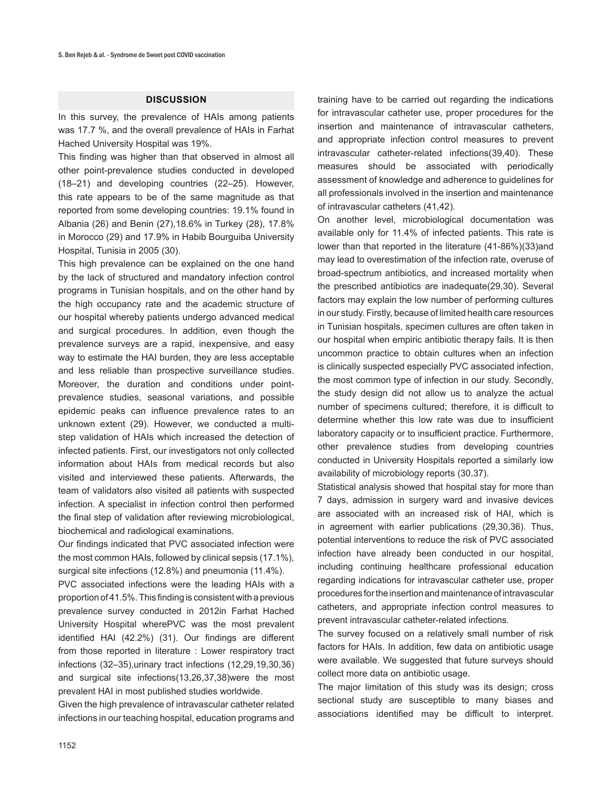#### **DISCUSSION**

In this survey, the prevalence of HAIs among patients was 17.7 %, and the overall prevalence of HAIs in Farhat Hached University Hospital was 19%.

This finding was higher than that observed in almost all other point-prevalence studies conducted in developed (18–21) and developing countries (22–25). However, this rate appears to be of the same magnitude as that reported from some developing countries: 19.1% found in Albania (26) and Benin (27),18.6% in Turkey (28), 17.8% in Morocco (29) and 17.9% in Habib Bourguiba University Hospital, Tunisia in 2005 (30).

This high prevalence can be explained on the one hand by the lack of structured and mandatory infection control programs in Tunisian hospitals, and on the other hand by the high occupancy rate and the academic structure of our hospital whereby patients undergo advanced medical and surgical procedures. In addition, even though the prevalence surveys are a rapid, inexpensive, and easy way to estimate the HAI burden, they are less acceptable and less reliable than prospective surveillance studies. Moreover, the duration and conditions under pointprevalence studies, seasonal variations, and possible epidemic peaks can influence prevalence rates to an unknown extent (29). However, we conducted a multistep validation of HAIs which increased the detection of infected patients. First, our investigators not only collected information about HAIs from medical records but also visited and interviewed these patients. Afterwards, the team of validators also visited all patients with suspected infection. A specialist in infection control then performed the final step of validation after reviewing microbiological, biochemical and radiological examinations.

Our findings indicated that PVC associated infection were the most common HAIs, followed by clinical sepsis (17.1%), surgical site infections (12.8%) and pneumonia (11.4%). PVC associated infections were the leading HAIs with a proportion of 41.5%. This finding is consistent with a previous prevalence survey conducted in 2012in Farhat Hached University Hospital wherePVC was the most prevalent identified HAI (42.2%) (31). Our findings are different from those reported in literature : Lower respiratory tract infections (32–35),urinary tract infections (12,29,19,30,36) and surgical site infections(13,26,37,38)were the most prevalent HAI in most published studies worldwide.

Given the high prevalence of intravascular catheter related infections in our teaching hospital, education programs and

training have to be carried out regarding the indications for intravascular catheter use, proper procedures for the insertion and maintenance of intravascular catheters, and appropriate infection control measures to prevent intravascular catheter-related infections(39,40). These measures should be associated with periodically assessment of knowledge and adherence to guidelines for all professionals involved in the insertion and maintenance of intravascular catheters (41,42).

On another level, microbiological documentation was available only for 11.4% of infected patients. This rate is lower than that reported in the literature (41-86%)(33)and may lead to overestimation of the infection rate, overuse of broad-spectrum antibiotics, and increased mortality when the prescribed antibiotics are inadequate(29,30). Several factors may explain the low number of performing cultures in our study. Firstly, because of limited health care resources in Tunisian hospitals, specimen cultures are often taken in our hospital when empiric antibiotic therapy fails. It is then uncommon practice to obtain cultures when an infection is clinically suspected especially PVC associated infection, the most common type of infection in our study. Secondly, the study design did not allow us to analyze the actual number of specimens cultured; therefore, it is difficult to determine whether this low rate was due to insufficient laboratory capacity or to insufficient practice. Furthermore, other prevalence studies from developing countries conducted in University Hospitals reported a similarly low availability of microbiology reports (30,37).

Statistical analysis showed that hospital stay for more than 7 days, admission in surgery ward and invasive devices are associated with an increased risk of HAI, which is in agreement with earlier publications (29,30,36). Thus, potential interventions to reduce the risk of PVC associated infection have already been conducted in our hospital, including continuing healthcare professional education regarding indications for intravascular catheter use, proper procedures for the insertion and maintenance of intravascular catheters, and appropriate infection control measures to prevent intravascular catheter-related infections.

The survey focused on a relatively small number of risk factors for HAIs. In addition, few data on antibiotic usage were available. We suggested that future surveys should collect more data on antibiotic usage.

The major limitation of this study was its design; cross sectional study are susceptible to many biases and associations identified may be difficult to interpret.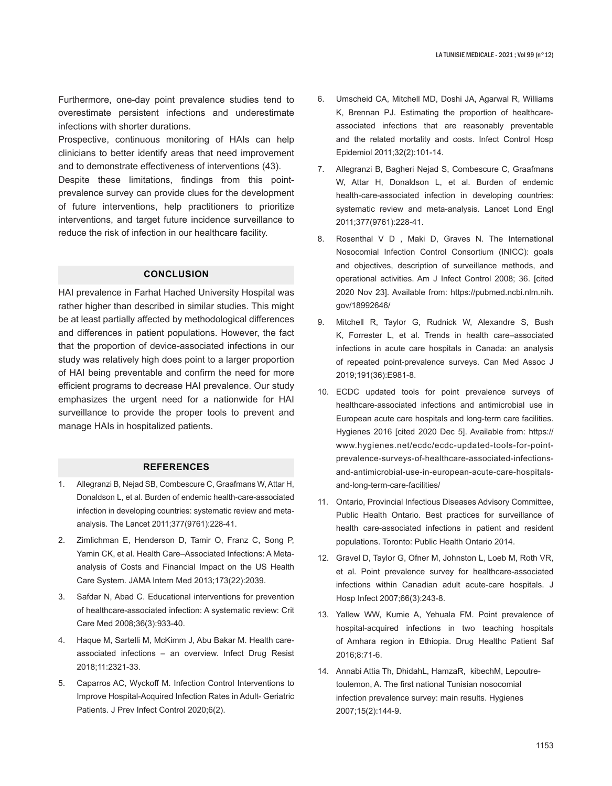Furthermore, one-day point prevalence studies tend to overestimate persistent infections and underestimate infections with shorter durations.

Prospective, continuous monitoring of HAIs can help clinicians to better identify areas that need improvement and to demonstrate effectiveness of interventions (43).

Despite these limitations, findings from this pointprevalence survey can provide clues for the development of future interventions, help practitioners to prioritize interventions, and target future incidence surveillance to reduce the risk of infection in our healthcare facility.

## **CONCLUSION**

HAI prevalence in Farhat Hached University Hospital was rather higher than described in similar studies. This might be at least partially affected by methodological differences and differences in patient populations. However, the fact that the proportion of device-associated infections in our study was relatively high does point to a larger proportion of HAI being preventable and confirm the need for more efficient programs to decrease HAI prevalence. Our study emphasizes the urgent need for a nationwide for HAI surveillance to provide the proper tools to prevent and manage HAIs in hospitalized patients.

## **REFERENCES**

- 1. Allegranzi B, Nejad SB, Combescure C, Graafmans W, Attar H, Donaldson L, et al. Burden of endemic health-care-associated infection in developing countries: systematic review and metaanalysis. The Lancet 2011;377(9761):228-41.
- 2. Zimlichman E, Henderson D, Tamir O, Franz C, Song P, Yamin CK, et al. Health Care–Associated Infections: A Metaanalysis of Costs and Financial Impact on the US Health Care System. JAMA Intern Med 2013;173(22):2039.
- 3. Safdar N, Abad C. Educational interventions for prevention of healthcare-associated infection: A systematic review: Crit Care Med 2008;36(3):933-40.
- 4. Haque M, Sartelli M, McKimm J, Abu Bakar M. Health careassociated infections – an overview. Infect Drug Resist 2018;11:2321-33.
- 5. Caparros AC, Wyckoff M. Infection Control Interventions to Improve Hospital-Acquired Infection Rates in Adult- Geriatric Patients. J Prev Infect Control 2020;6(2).
- 6. Umscheid CA, Mitchell MD, Doshi JA, Agarwal R, Williams K, Brennan PJ. Estimating the proportion of healthcareassociated infections that are reasonably preventable and the related mortality and costs. Infect Control Hosp Epidemiol 2011;32(2):101-14.
- 7. Allegranzi B, Bagheri Nejad S, Combescure C, Graafmans W, Attar H, Donaldson L, et al. Burden of endemic health-care-associated infection in developing countries: systematic review and meta-analysis. Lancet Lond Engl 2011;377(9761):228-41.
- 8. Rosenthal V D , Maki D, Graves N. The International Nosocomial Infection Control Consortium (INICC): goals and objectives, description of surveillance methods, and operational activities. Am J Infect Control 2008; 36. [cited 2020 Nov 23]. Available from: https://pubmed.ncbi.nlm.nih. gov/18992646/
- 9. Mitchell R, Taylor G, Rudnick W, Alexandre S, Bush K, Forrester L, et al. Trends in health care–associated infections in acute care hospitals in Canada: an analysis of repeated point-prevalence surveys. Can Med Assoc J 2019;191(36):E981-8.
- 10. ECDC updated tools for point prevalence surveys of healthcare-associated infections and antimicrobial use in European acute care hospitals and long-term care facilities. Hygienes 2016 [cited 2020 Dec 5]. Available from: https:// www.hygienes.net/ecdc/ecdc-updated-tools-for-pointprevalence-surveys-of-healthcare-associated-infectionsand-antimicrobial-use-in-european-acute-care-hospitalsand-long-term-care-facilities/
- 11. Ontario, Provincial Infectious Diseases Advisory Committee, Public Health Ontario. Best practices for surveillance of health care-associated infections in patient and resident populations. Toronto: Public Health Ontario 2014.
- 12. Gravel D, Taylor G, Ofner M, Johnston L, Loeb M, Roth VR, et al. Point prevalence survey for healthcare-associated infections within Canadian adult acute-care hospitals. J Hosp Infect 2007;66(3):243-8.
- 13. Yallew WW, Kumie A, Yehuala FM. Point prevalence of hospital-acquired infections in two teaching hospitals of Amhara region in Ethiopia. Drug Healthc Patient Saf 2016;8:71-6.
- 14. Annabi Attia Th, DhidahL, HamzaR, kibechM, Lepoutretoulemon, A. The first national Tunisian nosocomial infection prevalence survey: main results. Hygienes 2007;15(2):144-9.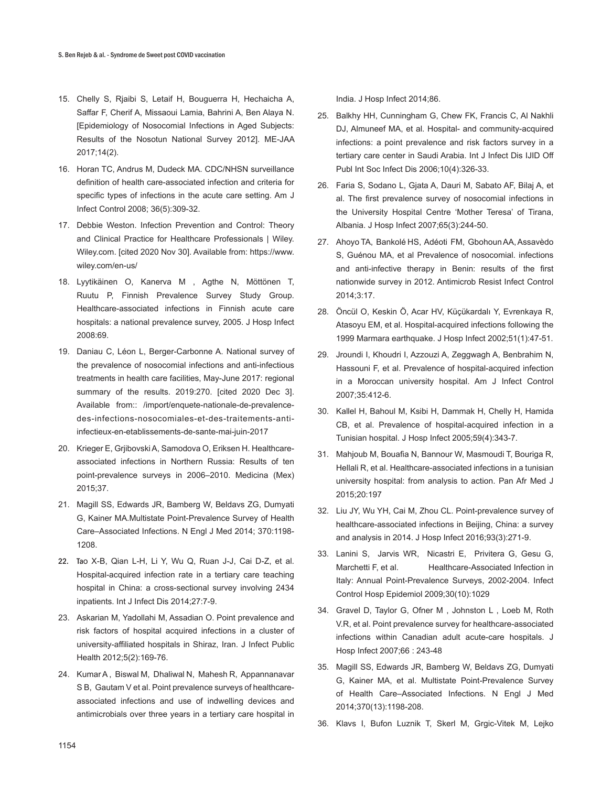- 15. Chelly S, Rjaibi S, Letaif H, Bouguerra H, Hechaicha A, Saffar F, Cherif A, Missaoui Lamia, Bahrini A, Ben Alaya N. [Epidemiology of Nosocomial Infections in Aged Subjects: Results of the Nosotun National Survey 2012]. ME-JAA 2017;14(2).
- 16. Horan TC, Andrus M, Dudeck MA. CDC/NHSN surveillance definition of health care-associated infection and criteria for specific types of infections in the acute care setting. Am J Infect Control 2008; 36(5):309-32.
- 17. Debbie Weston. Infection Prevention and Control: Theory and Clinical Practice for Healthcare Professionals | Wiley. Wiley.com. [cited 2020 Nov 30]. Available from: https://www. wiley.com/en-us/
- 18. Lyytikäinen O, Kanerva M , Agthe N, Möttönen T, Ruutu P, Finnish Prevalence Survey Study Group. Healthcare-associated infections in Finnish acute care hospitals: a national prevalence survey, 2005. J Hosp Infect 2008:69.
- 19. Daniau C, Léon L, Berger-Carbonne A. National survey of the prevalence of nosocomial infections and anti-infectious treatments in health care facilities, May-June 2017: regional summary of the results. 2019:270. [cited 2020 Dec 3]. Available from:: /import/enquete-nationale-de-prevalencedes-infections-nosocomiales-et-des-traitements-antiinfectieux-en-etablissements-de-sante-mai-juin-2017
- 20. Krieger E, Grjibovski A, Samodova O, Eriksen H. Healthcareassociated infections in Northern Russia: Results of ten point-prevalence surveys in 2006–2010. Medicina (Mex) 2015;37.
- 21. Magill SS, Edwards JR, Bamberg W, Beldavs ZG, Dumyati G, Kainer MA.Multistate Point-Prevalence Survey of Health Care–Associated Infections. N Engl J Med 2014; 370:1198- 1208.
- 22. Tao X-B, Qian L-H, Li Y, Wu Q, Ruan J-J, Cai D-Z, et al. Hospital-acquired infection rate in a tertiary care teaching hospital in China: a cross-sectional survey involving 2434 inpatients. Int J Infect Dis 2014;27:7-9.
- 23. Askarian M, Yadollahi M, Assadian O. Point prevalence and risk factors of hospital acquired infections in a cluster of university-affiliated hospitals in Shiraz, Iran. J Infect Public Health 2012;5(2):169-76.
- 24. Kumar A , Biswal M, Dhaliwal N, Mahesh R, Appannanavar S B, Gautam V et al. Point prevalence surveys of healthcareassociated infections and use of indwelling devices and antimicrobials over three years in a tertiary care hospital in

India. J Hosp Infect 2014;86.

- 25. Balkhy HH, Cunningham G, Chew FK, Francis C, Al Nakhli DJ, Almuneef MA, et al. Hospital- and community-acquired infections: a point prevalence and risk factors survey in a tertiary care center in Saudi Arabia. Int J Infect Dis IJID Off Publ Int Soc Infect Dis 2006;10(4):326-33.
- 26. Faria S, Sodano L, Gjata A, Dauri M, Sabato AF, Bilaj A, et al. The first prevalence survey of nosocomial infections in the University Hospital Centre 'Mother Teresa' of Tirana, Albania. J Hosp Infect 2007;65(3):244-50.
- 27. Ahoyo TA, Bankolé HS, Adéoti FM, Gbohoun AA,Assavèdo S, Guénou MA, et al Prevalence of nosocomial. infections and anti-infective therapy in Benin: results of the first nationwide survey in 2012. Antimicrob Resist Infect Control 2014;3:17.
- 28. Öncül O, Keskin Ö, Acar HV, Küçükardalı Y, Evrenkaya R, Atasoyu EM, et al. Hospital-acquired infections following the 1999 Marmara earthquake. J Hosp Infect 2002;51(1):47-51.
- 29. Jroundi I, Khoudri I, Azzouzi A, Zeggwagh A, Benbrahim N, Hassouni F, et al. Prevalence of hospital-acquired infection in a Moroccan university hospital. Am J Infect Control 2007;35:412-6.
- 30. Kallel H, Bahoul M, Ksibi H, Dammak H, Chelly H, Hamida CB, et al. Prevalence of hospital-acquired infection in a Tunisian hospital. J Hosp Infect 2005;59(4):343-7.
- 31. Mahjoub M, Bouafia N, Bannour W, Masmoudi T, Bouriga R, Hellali R, et al. Healthcare-associated infections in a tunisian university hospital: from analysis to action. Pan Afr Med J 2015;20:197
- 32. Liu JY, Wu YH, Cai M, Zhou CL. Point-prevalence survey of healthcare-associated infections in Beijing, China: a survey and analysis in 2014. J Hosp Infect 2016;93(3):271-9.
- 33. Lanini S, Jarvis WR, Nicastri E, Privitera G, Gesu G, Marchetti F, et al. Healthcare-Associated Infection in Italy: Annual Point-Prevalence Surveys, 2002-2004. Infect Control Hosp Epidemiol 2009;30(10):1029
- 34. Gravel D, Taylor G, Ofner M , Johnston L , Loeb M, Roth V.R, et al. Point prevalence survey for healthcare-associated infections within Canadian adult acute-care hospitals. J Hosp Infect 2007;66 : 243-48
- 35. Magill SS, Edwards JR, Bamberg W, Beldavs ZG, Dumyati G, Kainer MA, et al. Multistate Point-Prevalence Survey of Health Care–Associated Infections. N Engl J Med 2014;370(13):1198-208.
- 36. Klavs I, Bufon Luznik T, Skerl M, Grgic-Vitek M, Lejko